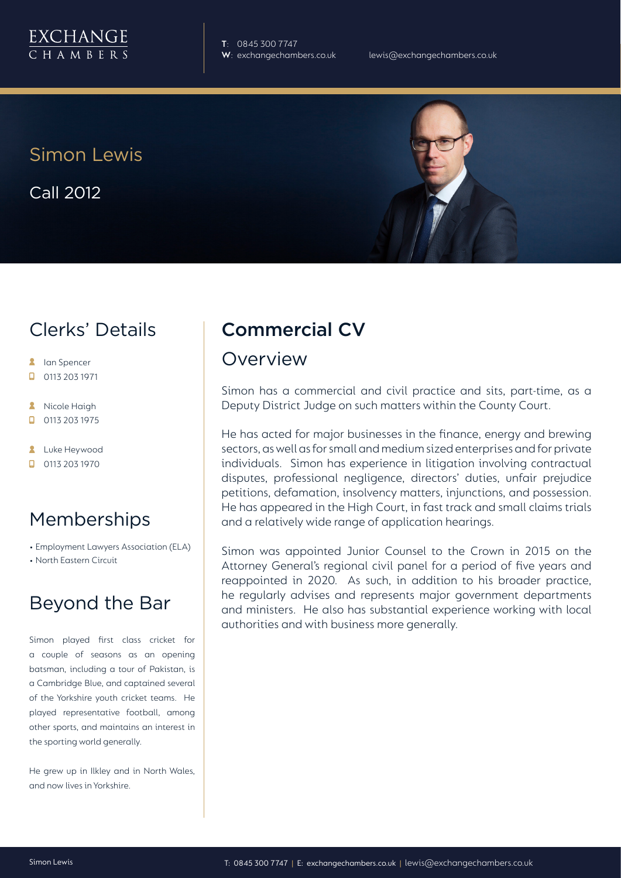

**T**: 0845 300 7747

Simon Lewis

Call 2012

## Clerks' Details

- $\mathbf{R}$ Ian Spencer
- 0113 203 1971  $\Box$
- Nicole Haigh  $\overline{\mathbf{z}}$
- 0113 203 1975 п
- **2** Luke Heywood
- $\Box$  0113 203 1970

### Memberships

- Employment Lawyers Association (ELA)
- North Eastern Circuit

## Beyond the Bar

Simon played first class cricket for a couple of seasons as an opening batsman, including a tour of Pakistan, is a Cambridge Blue, and captained several of the Yorkshire youth cricket teams. He played representative football, among other sports, and maintains an interest in the sporting world generally.

He grew up in Ilkley and in North Wales, and now lives in Yorkshire.

# Commercial CV

### Overview

Simon has a commercial and civil practice and sits, part-time, as a Deputy District Judge on such matters within the County Court.

He has acted for major businesses in the finance, energy and brewing sectors, as well as for small and medium sized enterprises and for private individuals. Simon has experience in litigation involving contractual disputes, professional negligence, directors' duties, unfair prejudice petitions, defamation, insolvency matters, injunctions, and possession. He has appeared in the High Court, in fast track and small claims trials and a relatively wide range of application hearings.

Simon was appointed Junior Counsel to the Crown in 2015 on the Attorney General's regional civil panel for a period of five years and reappointed in 2020. As such, in addition to his broader practice, he regularly advises and represents major government departments and ministers. He also has substantial experience working with local authorities and with business more generally.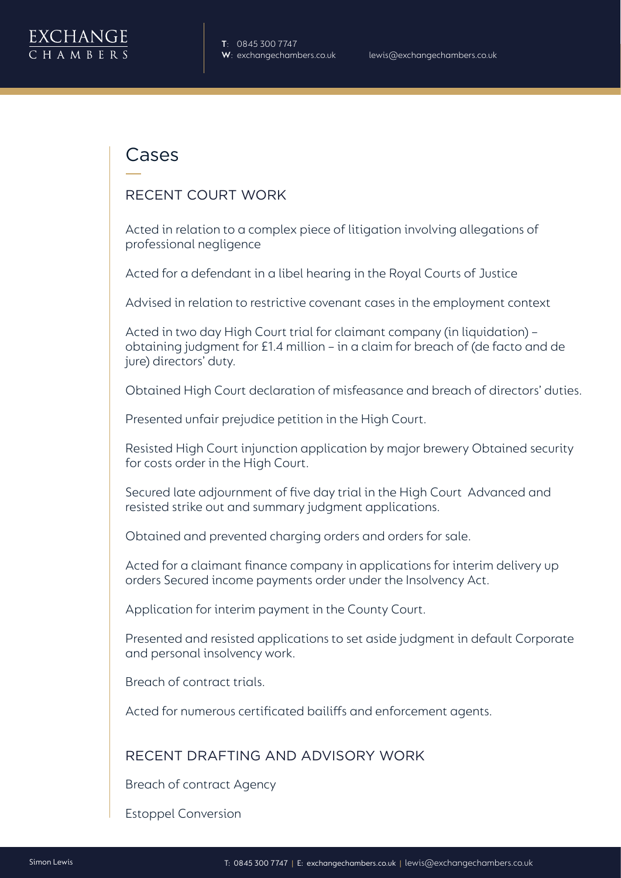

### Cases

#### RECENT COURT WORK

Acted in relation to a complex piece of litigation involving allegations of professional negligence

Acted for a defendant in a libel hearing in the Royal Courts of Justice

Advised in relation to restrictive covenant cases in the employment context

Acted in two day High Court trial for claimant company (in liquidation) – obtaining judgment for £1.4 million – in a claim for breach of (de facto and de jure) directors' duty.

Obtained High Court declaration of misfeasance and breach of directors' duties.

Presented unfair prejudice petition in the High Court.

Resisted High Court injunction application by major brewery Obtained security for costs order in the High Court.

Secured late adjournment of five day trial in the High Court Advanced and resisted strike out and summary judgment applications.

Obtained and prevented charging orders and orders for sale.

Acted for a claimant finance company in applications for interim delivery up orders Secured income payments order under the Insolvency Act.

Application for interim payment in the County Court.

Presented and resisted applications to set aside judgment in default Corporate and personal insolvency work.

Breach of contract trials.

Acted for numerous certificated bailiffs and enforcement agents.

#### RECENT DRAFTING AND ADVISORY WORK

Breach of contract Agency

Estoppel Conversion